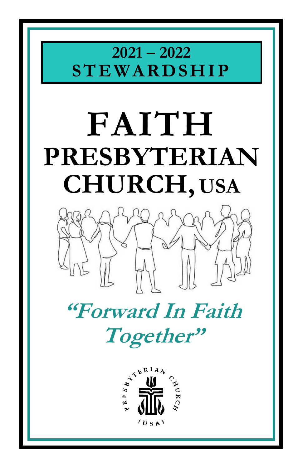# **2021 – 2022 ST E WARDSHIP**

# **FAITH PRESBYTERIAN CHURCH, USA**



# **"Forward In Faith Together"**

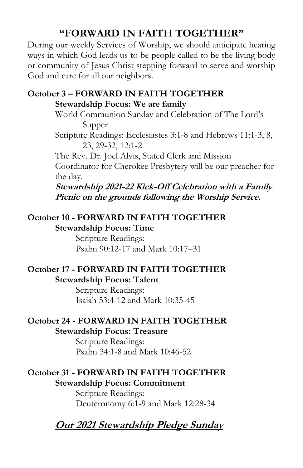#### **"FORWARD IN FAITH TOGETHER"**

During our weekly Services of Worship, we should anticipate hearing ways in which God leads us to be people called to be the living body or community of Jesus Christ stepping forward to serve and worship God and care for all our neighbors.

#### **October 3 – FORWARD IN FAITH TOGETHER Stewardship Focus: We are family**

World Communion Sunday and Celebration of The Lord's Supper

Scripture Readings: Ecclesiastes 3:1-8 and Hebrews 11:1-3, 8, 23, 29-32, 12:1-2

The Rev. Dr. Joel Alvis, Stated Clerk and Mission Coordinator for Cherokee Presbytery will be our preacher for the day.

**Stewardship 2021-22 Kick-Off Celebration with a Family Picnic on the grounds following the Worship Service.**

#### **October 10 - FORWARD IN FAITH TOGETHER Stewardship Focus: Time**

Scripture Readings: Psalm 90:12-17 and Mark 10:17–31

#### **October 17 - FORWARD IN FAITH TOGETHER Stewardship Focus: Talent**

Scripture Readings: Isaiah 53:4-12 and Mark 10:35-45

#### **October 24 - FORWARD IN FAITH TOGETHER Stewardship Focus: Treasure**

Scripture Readings: Psalm 34:1-8 and Mark 10:46-52

#### **October 31 - FORWARD IN FAITH TOGETHER Stewardship Focus: Commitment**

Scripture Readings: Deuteronomy 6:1-9 and Mark 12:28-34

#### **Our 2021 Stewardship Pledge Sunday**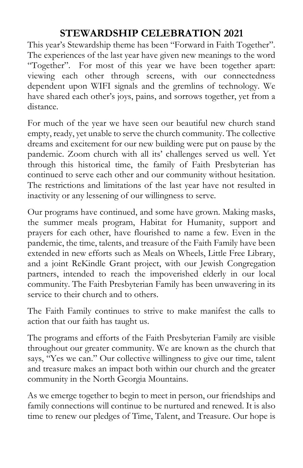#### **STEWARDSHIP CELEBRATION 2021**

This year's Stewardship theme has been "Forward in Faith Together". The experiences of the last year have given new meanings to the word "Together". For most of this year we have been together apart: viewing each other through screens, with our connectedness dependent upon WIFI signals and the gremlins of technology. We have shared each other's joys, pains, and sorrows together, yet from a distance.

For much of the year we have seen our beautiful new church stand empty, ready, yet unable to serve the church community. The collective dreams and excitement for our new building were put on pause by the pandemic. Zoom church with all its' challenges served us well. Yet through this historical time, the family of Faith Presbyterian has continued to serve each other and our community without hesitation. The restrictions and limitations of the last year have not resulted in inactivity or any lessening of our willingness to serve.

Our programs have continued, and some have grown. Making masks, the summer meals program, Habitat for Humanity, support and prayers for each other, have flourished to name a few. Even in the pandemic, the time, talents, and treasure of the Faith Family have been extended in new efforts such as Meals on Wheels, Little Free Library, and a joint ReKindle Grant project, with our Jewish Congregation partners, intended to reach the impoverished elderly in our local community. The Faith Presbyterian Family has been unwavering in its service to their church and to others.

The Faith Family continues to strive to make manifest the calls to action that our faith has taught us.

The programs and efforts of the Faith Presbyterian Family are visible throughout our greater community. We are known as the church that says, "Yes we can." Our collective willingness to give our time, talent and treasure makes an impact both within our church and the greater community in the North Georgia Mountains.

As we emerge together to begin to meet in person, our friendships and family connections will continue to be nurtured and renewed. It is also time to renew our pledges of Time, Talent, and Treasure. Our hope is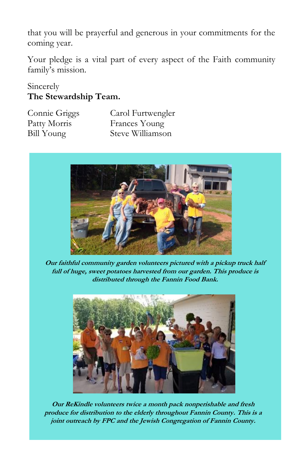that you will be prayerful and generous in your commitments for the coming year.

Your pledge is a vital part of every aspect of the Faith community family's mission.

#### Sincerely **The Stewardship Team.**

Connie Griggs Carol Furtwengler Patty Morris Frances Young Bill Young Steve Williamson



**Our faithful community garden volunteers pictured with a pickup truck half full of huge, sweet potatoes harvested from our garden. This produce is distributed through the Fannin Food Bank.**



**Our ReKindle volunteers twice a month pack nonperishable and fresh produce for distribution to the elderly throughout Fannin County. This is a joint outreach by FPC and the Jewish Congregation of Fannin County.**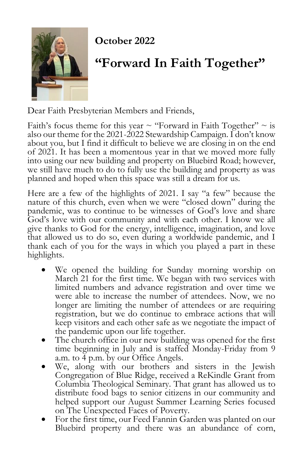

#### **October 2022**

### **"Forward In Faith Together"**

Dear Faith Presbyterian Members and Friends,

Faith's focus theme for this year  $\sim$  "Forward in Faith Together"  $\sim$  is also our theme for the 2021-2022 Stewardship Campaign. I don't know about you, but I find it difficult to believe we are closing in on the end of 2021. It has been a momentous year in that we moved more fully into using our new building and property on Bluebird Road; however, we still have much to do to fully use the building and property as was planned and hoped when this space was still a dream for us.

Here are a few of the highlights of 2021. I say "a few" because the nature of this church, even when we were "closed down" during the pandemic, was to continue to be witnesses of God's love and share God's love with our community and with each other. I know we all give thanks to God for the energy, intelligence, imagination, and love that allowed us to do so, even during a worldwide pandemic, and I thank each of you for the ways in which you played a part in these highlights.

- We opened the building for Sunday morning worship on March 21 for the first time. We began with two services with limited numbers and advance registration and over time we were able to increase the number of attendees. Now, we no longer are limiting the number of attendees or are requiring registration, but we do continue to embrace actions that will keep visitors and each other safe as we negotiate the impact of the pandemic upon our life together.
- The church office in our new building was opened for the first time beginning in July and is staffed Monday-Friday from 9 a.m. to 4 p.m. by our Office Angels.
- We, along with our brothers and sisters in the Jewish Congregation of Blue Ridge, received a ReKindle Grant from Columbia Theological Seminary. That grant has allowed us to distribute food bags to senior citizens in our community and helped support our August Summer Learning Series focused on The Unexpected Faces of Poverty.
- For the first time, our Feed Fannin Garden was planted on our Bluebird property and there was an abundance of corn,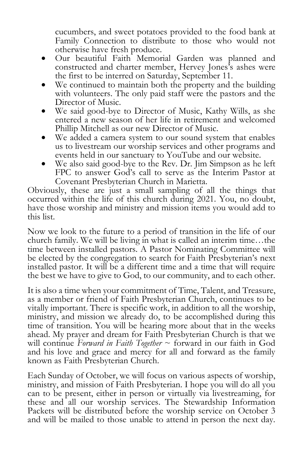cucumbers, and sweet potatoes provided to the food bank at Family Connection to distribute to those who would not otherwise have fresh produce.

- Our beautiful Faith Memorial Garden was planned and constructed and charter member, Hervey Jones's ashes were the first to be interred on Saturday, September 11.
- We continued to maintain both the property and the building with volunteers. The only paid staff were the pastors and the Director of Music.
- We said good-bye to Director of Music, Kathy Wills, as she entered a new season of her life in retirement and welcomed Phillip Mitchell as our new Director of Music.
- We added a camera system to our sound system that enables us to livestream our worship services and other programs and events held in our sanctuary to YouTube and our website.
- We also said good-bye to the Rev. Dr. Jim Simpson as he left FPC to answer God's call to serve as the Interim Pastor at Covenant Presbyterian Church in Marietta.

Obviously, these are just a small sampling of all the things that occurred within the life of this church during 2021. You, no doubt, have those worship and ministry and mission items you would add to this list.

Now we look to the future to a period of transition in the life of our church family. We will be living in what is called an interim time…the time between installed pastors. A Pastor Nominating Committee will be elected by the congregation to search for Faith Presbyterian's next installed pastor. It will be a different time and a time that will require the best we have to give to God, to our community, and to each other.

It is also a time when your commitment of Time, Talent, and Treasure, as a member or friend of Faith Presbyterian Church, continues to be vitally important. There is specific work, in addition to all the worship, ministry, and mission we already do, to be accomplished during this time of transition. You will be hearing more about that in the weeks ahead. My prayer and dream for Faith Presbyterian Church is that we will continue *Forward in Faith Together* ~ forward in our faith in God and his love and grace and mercy for all and forward as the family known as Faith Presbyterian Church.

Each Sunday of October, we will focus on various aspects of worship, ministry, and mission of Faith Presbyterian. I hope you will do all you can to be present, either in person or virtually via livestreaming, for these and all our worship services. The Stewardship Information Packets will be distributed before the worship service on October 3 and will be mailed to those unable to attend in person the next day.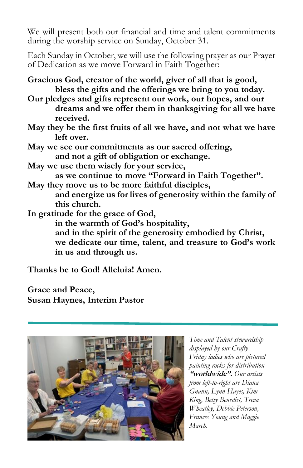We will present both our financial and time and talent commitments during the worship service on Sunday, October 31.

Each Sunday in October, we will use the following prayer as our Prayer of Dedication as we move Forward in Faith Together:

**Gracious God, creator of the world, giver of all that is good, bless the gifts and the offerings we bring to you today.**

**Our pledges and gifts represent our work, our hopes, and our dreams and we offer them in thanksgiving for all we have received.**

- **May they be the first fruits of all we have, and not what we have left over.**
- **May we see our commitments as our sacred offering, and not a gift of obligation or exchange.**
- **May we use them wisely for your service, as we continue to move "Forward in Faith Together".**
- **May they move us to be more faithful disciples, and energize us for lives of generosity within the family of this church.**

**In gratitude for the grace of God,**

**in the warmth of God's hospitality, and in the spirit of the generosity embodied by Christ, we dedicate our time, talent, and treasure to God's work in us and through us.**

**Thanks be to God! Alleluia! Amen.**

**Grace and Peace, Susan Haynes, Interim Pastor**



*Time and Talent stewardship displayed by our Crafty Friday ladies who are pictured painting rocks for distribution*  **"worldwide".** *Our artists from left-to-right are Diana Gnann, Lynn Hayes, Kim King, Betty Benedict, Treva Wheatley, Debbie Peterson, Frances Young and Maggie March.*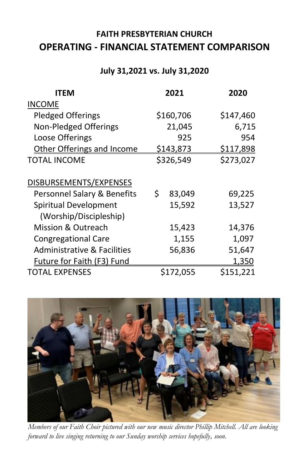#### **FAITH PRESBYTERIAN CHURCH OPERATING - FINANCIAL STATEMENT COMPARISON**

#### **July 31,2021 vs. July 31,2020**

| <b>ITEM</b>                            | 2021             | 2020             |
|----------------------------------------|------------------|------------------|
| <b>INCOME</b>                          |                  |                  |
| <b>Pledged Offerings</b>               | \$160,706        | \$147,460        |
| Non-Pledged Offerings                  | 21,045           | 6,715            |
| Loose Offerings                        | 925              | 954              |
| Other Offerings and Income             | <u>\$143,873</u> | <u>\$117,898</u> |
| <b>TOTAL INCOME</b>                    | \$326,549        | \$273,027        |
|                                        |                  |                  |
| DISBURSEMENTS/EXPENSES                 |                  |                  |
| Personnel Salary & Benefits            | \$<br>83,049     | 69,225           |
| Spiritual Development                  | 15,592           | 13,527           |
| (Worship/Discipleship)                 |                  |                  |
| <b>Mission &amp; Outreach</b>          | 15,423           | 14,376           |
| <b>Congregational Care</b>             | 1,155            | 1,097            |
| <b>Administrative &amp; Facilities</b> | 56,836           | 51,647           |
| <b>Future for Faith (F3) Fund</b>      |                  | <u>1,350</u>     |
| <b>TOTAL EXPENSES</b>                  | \$172,055        | \$151,221        |
|                                        |                  |                  |



*Members of our Faith Choir pictured with our new music director Phillip Mitchell. All are looking forward to live singing returning to our Sunday worship services hopefully, soon.*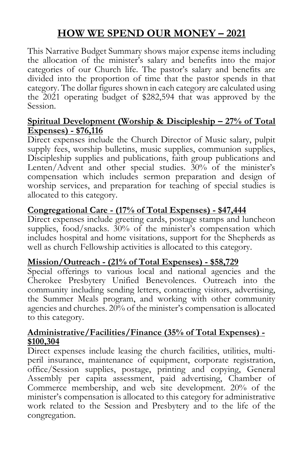#### **HOW WE SPEND OUR MONEY – 2021**

This Narrative Budget Summary shows major expense items including the allocation of the minister's salary and benefits into the major categories of our Church life. The pastor's salary and benefits are divided into the proportion of time that the pastor spends in that category. The dollar figures shown in each category are calculated using the 2021 operating budget of \$282,594 that was approved by the Session.

#### **Spiritual Development (Worship & Discipleship – 27% of Total Expenses) - \$76,116**

Direct expenses include the Church Director of Music salary, pulpit supply fees, worship bulletins, music supplies, communion supplies, Discipleship supplies and publications, faith group publications and Lenten/Advent and other special studies. 30% of the minister's compensation which includes sermon preparation and design of worship services, and preparation for teaching of special studies is allocated to this category.

#### **Congregational Care - (17% of Total Expenses) - \$47,444**

Direct expenses include greeting cards, postage stamps and luncheon supplies, food/snacks.  $30\%$  of the minister's compensation which includes hospital and home visitations, support for the Shepherds as well as church Fellowship activities is allocated to this category.

#### **Mission/Outreach - (21% of Total Expenses) - \$58,729**

Special offerings to various local and national agencies and the Cherokee Presbytery Unified Benevolences. Outreach into the community including sending letters, contacting visitors, advertising, the Summer Meals program, and working with other community agencies and churches. 20% of the minister's compensation is allocated to this category.

#### **Administrative/Facilities/Finance (35% of Total Expenses) - \$100,304**

Direct expenses include leasing the church facilities, utilities, multiperil insurance, maintenance of equipment, corporate registration, office/Session supplies, postage, printing and copying, General Assembly per capita assessment, paid advertising, Chamber of Commerce membership, and web site development. 20% of the minister's compensation is allocated to this category for administrative work related to the Session and Presbytery and to the life of the congregation.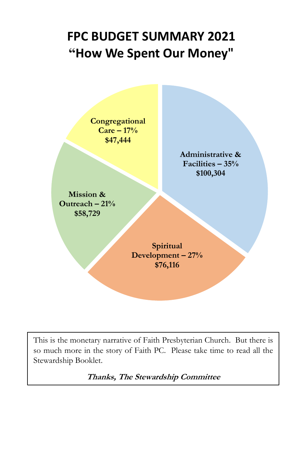## **FPC BUDGET SUMMARY 2021 "How We Spent Our Money"**



This is the monetary narrative of Faith Presbyterian Church. But there is so much more in the story of Faith PC. Please take time to read all the Stewardship Booklet.

**Thanks, The Stewardship Committee**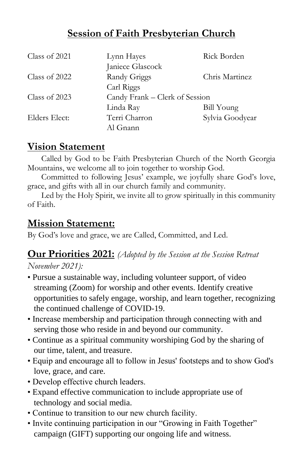#### **Session of Faith Presbyterian Church**

| Class of 2021   | Lynn Hayes       | Rick Borden                    |  |
|-----------------|------------------|--------------------------------|--|
|                 | Janiece Glascock |                                |  |
| Class of $2022$ | Randy Griggs     | Chris Martinez                 |  |
|                 | Carl Riggs       |                                |  |
| Class of 2023   |                  | Candy Frank - Clerk of Session |  |
|                 | Linda Ray        | <b>Bill Young</b>              |  |
| Elders Elect:   | Terri Charron    | Sylvia Goodyear                |  |
|                 | Al Gnann         |                                |  |

#### **Vision Statement**

Called by God to be Faith Presbyterian Church of the North Georgia Mountains, we welcome all to join together to worship God.

Committed to following Jesus' example, we joyfully share God's love, grace, and gifts with all in our church family and community.

Led by the Holy Spirit, we invite all to grow spiritually in this community of Faith.

#### **Mission Statement:**

By God's love and grace, we are Called, Committed, and Led.

#### **Our Priorities 2021:** *(Adopted by the Session at the Session Retreat*

*November 2021):*

- Pursue a sustainable way, including volunteer support, of video streaming (Zoom) for worship and other events. Identify creative opportunities to safely engage, worship, and learn together, recognizing the continued challenge of COVID-19.
- Increase membership and participation through connecting with and serving those who reside in and beyond our community.
- Continue as a spiritual community worshiping God by the sharing of our time, talent, and treasure.
- Equip and encourage all to follow in Jesus' footsteps and to show God's love, grace, and care.
- Develop effective church leaders.
- Expand effective communication to include appropriate use of technology and social media.
- Continue to transition to our new church facility.
- Invite continuing participation in our "Growing in Faith Together" campaign (GIFT) supporting our ongoing life and witness.